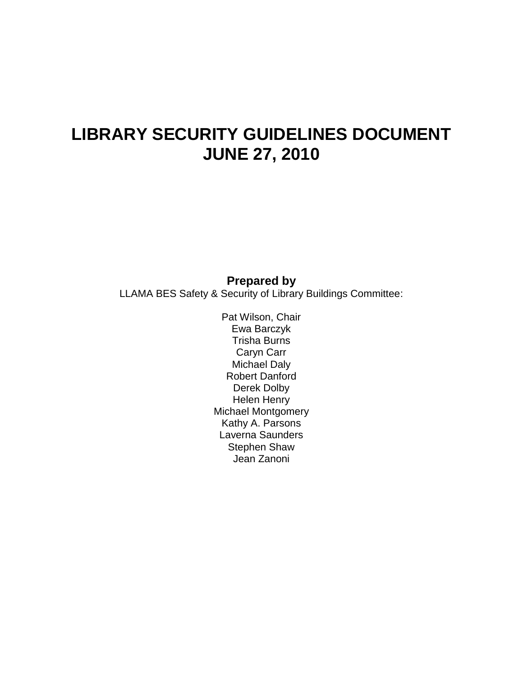# **LIBRARY SECURITY GUIDELINES DOCUMENT JUNE 27, 2010**

#### **Prepared by**

LLAMA BES Safety & Security of Library Buildings Committee:

Pat Wilson, Chair Ewa Barczyk Trisha Burns Caryn Carr Michael Daly Robert Danford Derek Dolby Helen Henry Michael Montgomery Kathy A. Parsons Laverna Saunders Stephen Shaw Jean Zanoni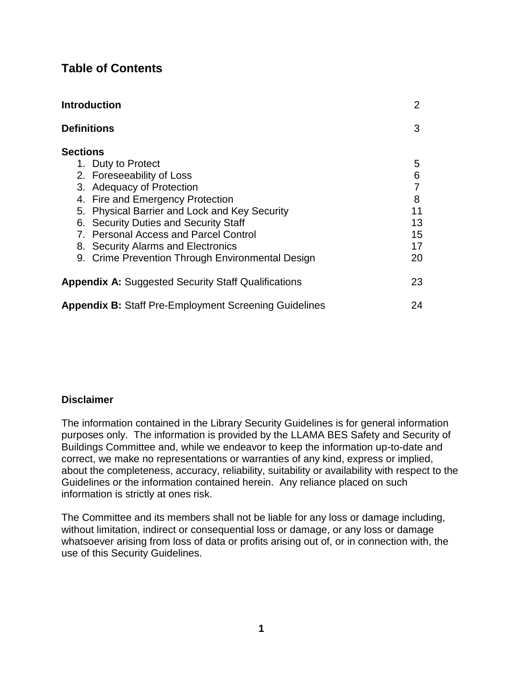# **Table of Contents**

| <b>Introduction</b>                                                                              | 2        |
|--------------------------------------------------------------------------------------------------|----------|
| <b>Definitions</b>                                                                               | 3        |
| <b>Sections</b>                                                                                  |          |
| 1. Duty to Protect<br>2. Foreseeability of Loss                                                  | 5<br>6   |
| 3. Adequacy of Protection<br>4. Fire and Emergency Protection                                    | 8        |
| <b>Physical Barrier and Lock and Key Security</b><br>5.<br>6. Security Duties and Security Staff | 11<br>13 |
| 7. Personal Access and Parcel Control<br>8. Security Alarms and Electronics                      | 15<br>17 |
| 9. Crime Prevention Through Environmental Design                                                 | 20       |
| <b>Appendix A:</b> Suggested Security Staff Qualifications                                       | 23       |
| <b>Appendix B: Staff Pre-Employment Screening Guidelines</b>                                     | 24       |

#### **Disclaimer**

The information contained in the Library Security Guidelines is for general information purposes only. The information is provided by the LLAMA BES Safety and Security of Buildings Committee and, while we endeavor to keep the information up-to-date and correct, we make no representations or warranties of any kind, express or implied, about the completeness, accuracy, reliability, suitability or availability with respect to the Guidelines or the information contained herein. Any reliance placed on such information is strictly at ones risk.

The Committee and its members shall not be liable for any loss or damage including, without limitation, indirect or consequential loss or damage, or any loss or damage whatsoever arising from loss of data or profits arising out of, or in connection with, the use of this Security Guidelines.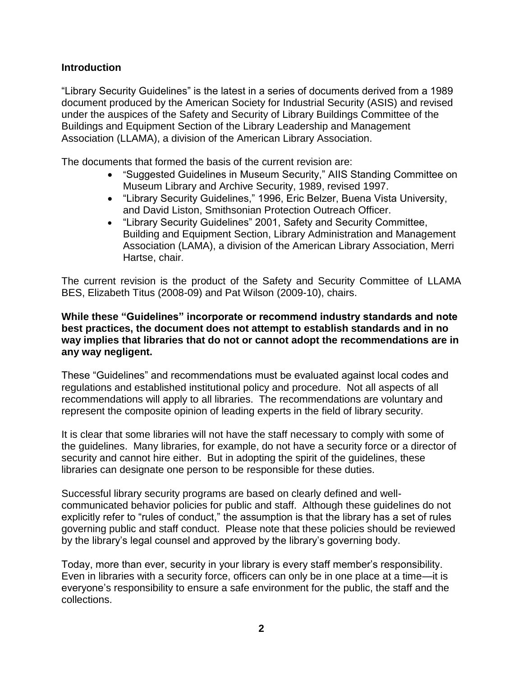#### **Introduction**

"Library Security Guidelines" is the latest in a series of documents derived from a 1989 document produced by the American Society for Industrial Security (ASIS) and revised under the auspices of the Safety and Security of Library Buildings Committee of the Buildings and Equipment Section of the Library Leadership and Management Association (LLAMA), a division of the American Library Association.

The documents that formed the basis of the current revision are:

- "Suggested Guidelines in Museum Security," AIIS Standing Committee on Museum Library and Archive Security, 1989, revised 1997.
- "Library Security Guidelines," 1996, Eric Belzer, Buena Vista University, and David Liston, Smithsonian Protection Outreach Officer.
- "Library Security Guidelines" 2001, Safety and Security Committee, Building and Equipment Section, Library Administration and Management Association (LAMA), a division of the American Library Association, Merri Hartse, chair.

The current revision is the product of the Safety and Security Committee of LLAMA BES, Elizabeth Titus (2008-09) and Pat Wilson (2009-10), chairs.

#### **While these "Guidelines" incorporate or recommend industry standards and note best practices, the document does not attempt to establish standards and in no way implies that libraries that do not or cannot adopt the recommendations are in any way negligent.**

These "Guidelines" and recommendations must be evaluated against local codes and regulations and established institutional policy and procedure. Not all aspects of all recommendations will apply to all libraries. The recommendations are voluntary and represent the composite opinion of leading experts in the field of library security.

It is clear that some libraries will not have the staff necessary to comply with some of the guidelines. Many libraries, for example, do not have a security force or a director of security and cannot hire either. But in adopting the spirit of the guidelines, these libraries can designate one person to be responsible for these duties.

Successful library security programs are based on clearly defined and wellcommunicated behavior policies for public and staff. Although these guidelines do not explicitly refer to "rules of conduct," the assumption is that the library has a set of rules governing public and staff conduct. Please note that these policies should be reviewed by the library's legal counsel and approved by the library's governing body.

Today, more than ever, security in your library is every staff member's responsibility. Even in libraries with a security force, officers can only be in one place at a time—it is everyone's responsibility to ensure a safe environment for the public, the staff and the collections.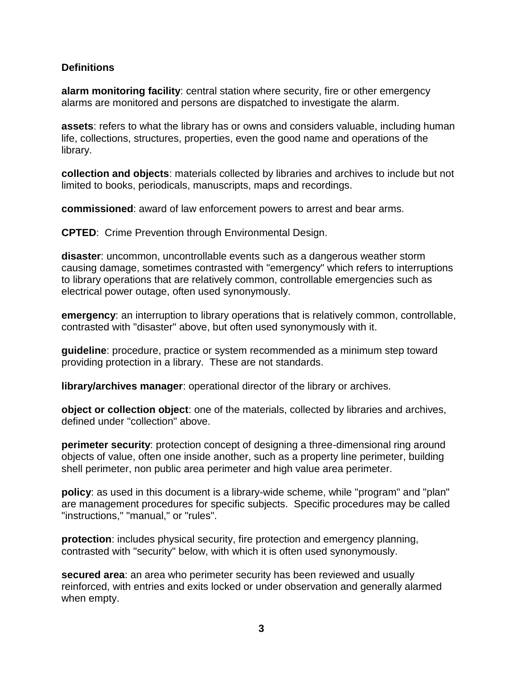#### **Definitions**

**alarm monitoring facility**: central station where security, fire or other emergency alarms are monitored and persons are dispatched to investigate the alarm.

**assets**: refers to what the library has or owns and considers valuable, including human life, collections, structures, properties, even the good name and operations of the library.

**collection and objects**: materials collected by libraries and archives to include but not limited to books, periodicals, manuscripts, maps and recordings.

**commissioned**: award of law enforcement powers to arrest and bear arms.

**CPTED**: Crime Prevention through Environmental Design.

**disaster**: uncommon, uncontrollable events such as a dangerous weather storm causing damage, sometimes contrasted with "emergency" which refers to interruptions to library operations that are relatively common, controllable emergencies such as electrical power outage, often used synonymously.

**emergency**: an interruption to library operations that is relatively common, controllable, contrasted with "disaster" above, but often used synonymously with it.

**guideline**: procedure, practice or system recommended as a minimum step toward providing protection in a library. These are not standards.

**library/archives manager**: operational director of the library or archives.

**object or collection object**: one of the materials, collected by libraries and archives, defined under "collection" above.

**perimeter security**: protection concept of designing a three-dimensional ring around objects of value, often one inside another, such as a property line perimeter, building shell perimeter, non public area perimeter and high value area perimeter.

**policy**: as used in this document is a library-wide scheme, while "program" and "plan" are management procedures for specific subjects. Specific procedures may be called "instructions," "manual," or "rules".

**protection**: includes physical security, fire protection and emergency planning, contrasted with "security" below, with which it is often used synonymously.

**secured area**: an area who perimeter security has been reviewed and usually reinforced, with entries and exits locked or under observation and generally alarmed when empty.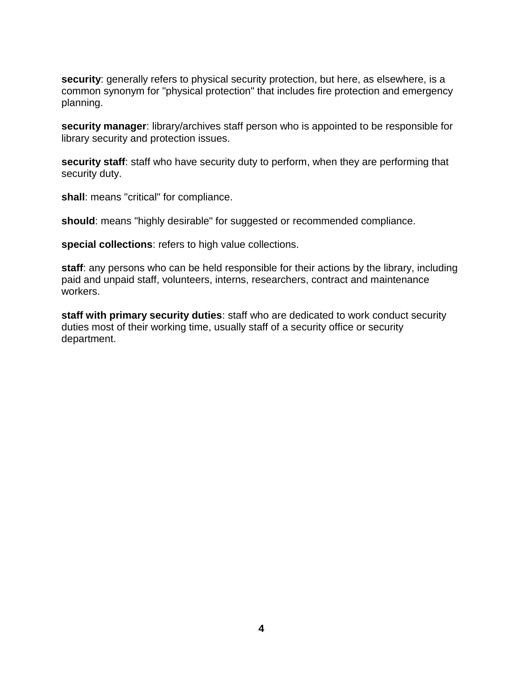**security**: generally refers to physical security protection, but here, as elsewhere, is a common synonym for "physical protection" that includes fire protection and emergency planning.

**security manager**: library/archives staff person who is appointed to be responsible for library security and protection issues.

**security staff**: staff who have security duty to perform, when they are performing that security duty.

**shall**: means "critical" for compliance.

**should**: means "highly desirable" for suggested or recommended compliance.

**special collections**: refers to high value collections.

**staff**: any persons who can be held responsible for their actions by the library, including paid and unpaid staff, volunteers, interns, researchers, contract and maintenance workers.

**staff with primary security duties**: staff who are dedicated to work conduct security duties most of their working time, usually staff of a security office or security department.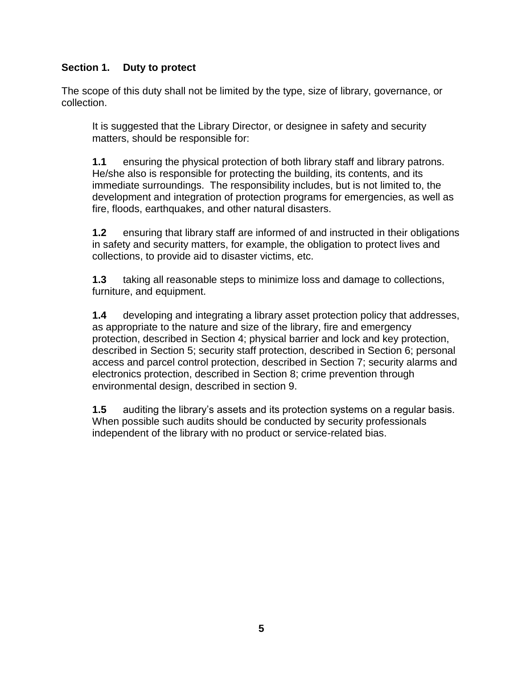# **Section 1. Duty to protect**

The scope of this duty shall not be limited by the type, size of library, governance, or collection.

It is suggested that the Library Director, or designee in safety and security matters, should be responsible for:

**1.1** ensuring the physical protection of both library staff and library patrons. He/she also is responsible for protecting the building, its contents, and its immediate surroundings. The responsibility includes, but is not limited to, the development and integration of protection programs for emergencies, as well as fire, floods, earthquakes, and other natural disasters.

**1.2** ensuring that library staff are informed of and instructed in their obligations in safety and security matters, for example, the obligation to protect lives and collections, to provide aid to disaster victims, etc.

**1.3** taking all reasonable steps to minimize loss and damage to collections, furniture, and equipment.

**1.4** developing and integrating a library asset protection policy that addresses, as appropriate to the nature and size of the library, fire and emergency protection, described in Section 4; physical barrier and lock and key protection, described in Section 5; security staff protection, described in Section 6; personal access and parcel control protection, described in Section 7; security alarms and electronics protection, described in Section 8; crime prevention through environmental design, described in section 9.

**1.5** auditing the library's assets and its protection systems on a regular basis. When possible such audits should be conducted by security professionals independent of the library with no product or service-related bias.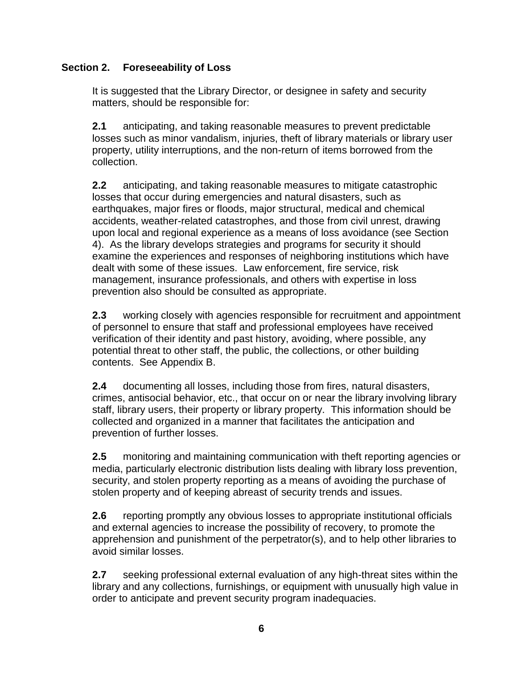# **Section 2. Foreseeability of Loss**

It is suggested that the Library Director, or designee in safety and security matters, should be responsible for:

**2.1** anticipating, and taking reasonable measures to prevent predictable losses such as minor vandalism, injuries, theft of library materials or library user property, utility interruptions, and the non-return of items borrowed from the collection.

**2.2** anticipating, and taking reasonable measures to mitigate catastrophic losses that occur during emergencies and natural disasters, such as earthquakes, major fires or floods, major structural, medical and chemical accidents, weather-related catastrophes, and those from civil unrest, drawing upon local and regional experience as a means of loss avoidance (see Section 4). As the library develops strategies and programs for security it should examine the experiences and responses of neighboring institutions which have dealt with some of these issues. Law enforcement, fire service, risk management, insurance professionals, and others with expertise in loss prevention also should be consulted as appropriate.

**2.3** working closely with agencies responsible for recruitment and appointment of personnel to ensure that staff and professional employees have received verification of their identity and past history, avoiding, where possible, any potential threat to other staff, the public, the collections, or other building contents. See Appendix B.

**2.4** documenting all losses, including those from fires, natural disasters, crimes, antisocial behavior, etc., that occur on or near the library involving library staff, library users, their property or library property. This information should be collected and organized in a manner that facilitates the anticipation and prevention of further losses.

**2.5** monitoring and maintaining communication with theft reporting agencies or media, particularly electronic distribution lists dealing with library loss prevention, security, and stolen property reporting as a means of avoiding the purchase of stolen property and of keeping abreast of security trends and issues.

**2.6** reporting promptly any obvious losses to appropriate institutional officials and external agencies to increase the possibility of recovery, to promote the apprehension and punishment of the perpetrator(s), and to help other libraries to avoid similar losses.

**2.7** seeking professional external evaluation of any high-threat sites within the library and any collections, furnishings, or equipment with unusually high value in order to anticipate and prevent security program inadequacies.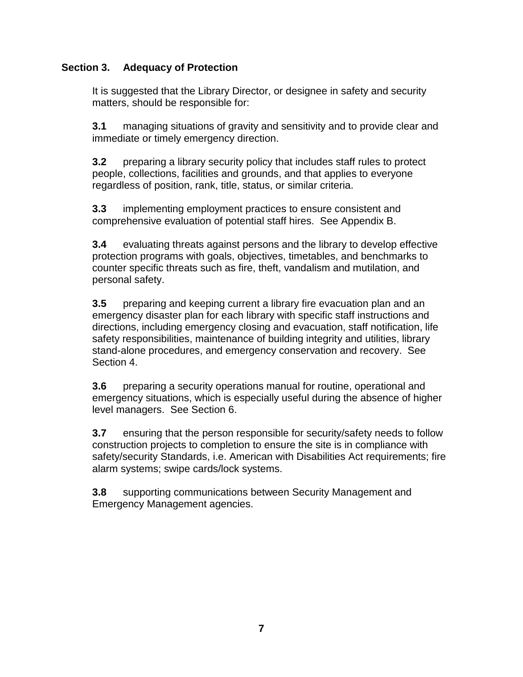# **Section 3. Adequacy of Protection**

It is suggested that the Library Director, or designee in safety and security matters, should be responsible for:

**3.1** managing situations of gravity and sensitivity and to provide clear and immediate or timely emergency direction.

**3.2** preparing a library security policy that includes staff rules to protect people, collections, facilities and grounds, and that applies to everyone regardless of position, rank, title, status, or similar criteria.

**3.3** implementing employment practices to ensure consistent and comprehensive evaluation of potential staff hires. See Appendix B.

**3.4** evaluating threats against persons and the library to develop effective protection programs with goals, objectives, timetables, and benchmarks to counter specific threats such as fire, theft, vandalism and mutilation, and personal safety.

**3.5** preparing and keeping current a library fire evacuation plan and an emergency disaster plan for each library with specific staff instructions and directions, including emergency closing and evacuation, staff notification, life safety responsibilities, maintenance of building integrity and utilities, library stand-alone procedures, and emergency conservation and recovery. See Section 4.

**3.6** preparing a security operations manual for routine, operational and emergency situations, which is especially useful during the absence of higher level managers. See Section 6.

**3.7** ensuring that the person responsible for security/safety needs to follow construction projects to completion to ensure the site is in compliance with safety/security Standards, i.e. American with Disabilities Act requirements; fire alarm systems; swipe cards/lock systems.

**3.8** supporting communications between Security Management and Emergency Management agencies.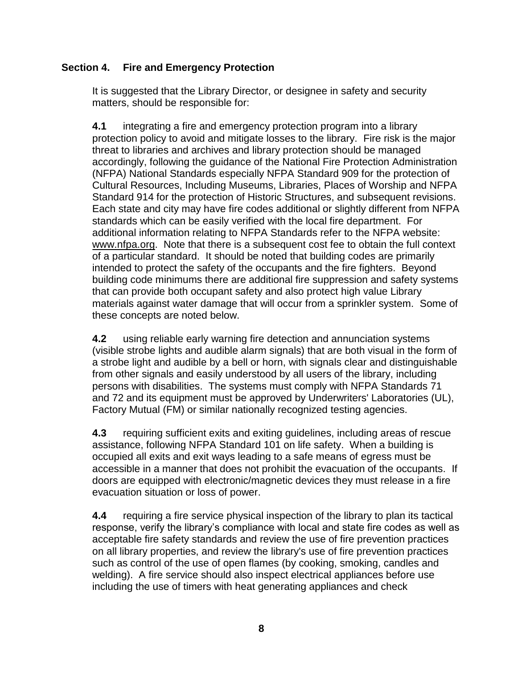### **Section 4. Fire and Emergency Protection**

It is suggested that the Library Director, or designee in safety and security matters, should be responsible for:

**4.1** integrating a fire and emergency protection program into a library protection policy to avoid and mitigate losses to the library. Fire risk is the major threat to libraries and archives and library protection should be managed accordingly, following the guidance of the National Fire Protection Administration (NFPA) National Standards especially NFPA Standard 909 for the protection of Cultural Resources, Including Museums, Libraries, Places of Worship and NFPA Standard 914 for the protection of Historic Structures, and subsequent revisions. Each state and city may have fire codes additional or slightly different from NFPA standards which can be easily verified with the local fire department. For additional information relating to NFPA Standards refer to the NFPA website: [www.nfpa.org.](http://www.nfpa.org/) Note that there is a subsequent cost fee to obtain the full context of a particular standard. It should be noted that building codes are primarily intended to protect the safety of the occupants and the fire fighters. Beyond building code minimums there are additional fire suppression and safety systems that can provide both occupant safety and also protect high value Library materials against water damage that will occur from a sprinkler system. Some of these concepts are noted below.

**4.2** using reliable early warning fire detection and annunciation systems (visible strobe lights and audible alarm signals) that are both visual in the form of a strobe light and audible by a bell or horn, with signals clear and distinguishable from other signals and easily understood by all users of the library, including persons with disabilities. The systems must comply with NFPA Standards 71 and 72 and its equipment must be approved by Underwriters' Laboratories (UL), Factory Mutual (FM) or similar nationally recognized testing agencies.

**4.3** requiring sufficient exits and exiting guidelines, including areas of rescue assistance, following NFPA Standard 101 on life safety. When a building is occupied all exits and exit ways leading to a safe means of egress must be accessible in a manner that does not prohibit the evacuation of the occupants. If doors are equipped with electronic/magnetic devices they must release in a fire evacuation situation or loss of power.

**4.4** requiring a fire service physical inspection of the library to plan its tactical response, verify the library's compliance with local and state fire codes as well as acceptable fire safety standards and review the use of fire prevention practices on all library properties, and review the library's use of fire prevention practices such as control of the use of open flames (by cooking, smoking, candles and welding). A fire service should also inspect electrical appliances before use including the use of timers with heat generating appliances and check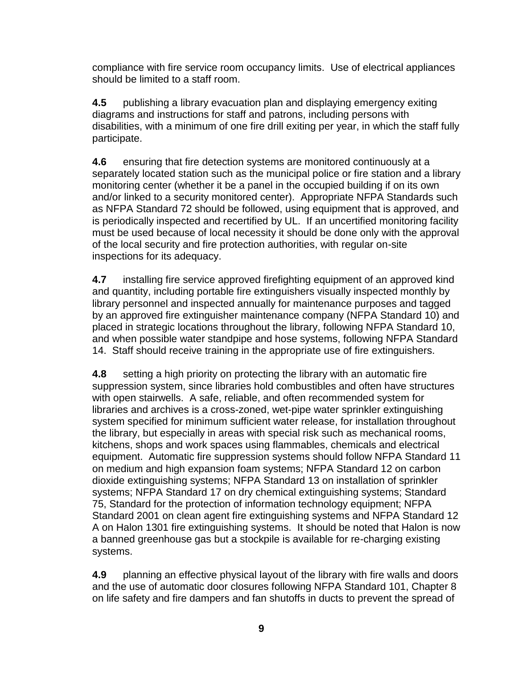compliance with fire service room occupancy limits. Use of electrical appliances should be limited to a staff room.

**4.5** publishing a library evacuation plan and displaying emergency exiting diagrams and instructions for staff and patrons, including persons with disabilities, with a minimum of one fire drill exiting per year, in which the staff fully participate.

**4.6** ensuring that fire detection systems are monitored continuously at a separately located station such as the municipal police or fire station and a library monitoring center (whether it be a panel in the occupied building if on its own and/or linked to a security monitored center). Appropriate NFPA Standards such as NFPA Standard 72 should be followed, using equipment that is approved, and is periodically inspected and recertified by UL. If an uncertified monitoring facility must be used because of local necessity it should be done only with the approval of the local security and fire protection authorities, with regular on-site inspections for its adequacy.

**4.7** installing fire service approved firefighting equipment of an approved kind and quantity, including portable fire extinguishers visually inspected monthly by library personnel and inspected annually for maintenance purposes and tagged by an approved fire extinguisher maintenance company (NFPA Standard 10) and placed in strategic locations throughout the library, following NFPA Standard 10, and when possible water standpipe and hose systems, following NFPA Standard 14. Staff should receive training in the appropriate use of fire extinguishers.

**4.8** setting a high priority on protecting the library with an automatic fire suppression system, since libraries hold combustibles and often have structures with open stairwells. A safe, reliable, and often recommended system for libraries and archives is a cross-zoned, wet-pipe water sprinkler extinguishing system specified for minimum sufficient water release, for installation throughout the library, but especially in areas with special risk such as mechanical rooms, kitchens, shops and work spaces using flammables, chemicals and electrical equipment. Automatic fire suppression systems should follow NFPA Standard 11 on medium and high expansion foam systems; NFPA Standard 12 on carbon dioxide extinguishing systems; NFPA Standard 13 on installation of sprinkler systems; NFPA Standard 17 on dry chemical extinguishing systems; Standard 75, Standard for the protection of information technology equipment; NFPA Standard 2001 on clean agent fire extinguishing systems and NFPA Standard 12 A on Halon 1301 fire extinguishing systems. It should be noted that Halon is now a banned greenhouse gas but a stockpile is available for re-charging existing systems.

**4.9** planning an effective physical layout of the library with fire walls and doors and the use of automatic door closures following NFPA Standard 101, Chapter 8 on life safety and fire dampers and fan shutoffs in ducts to prevent the spread of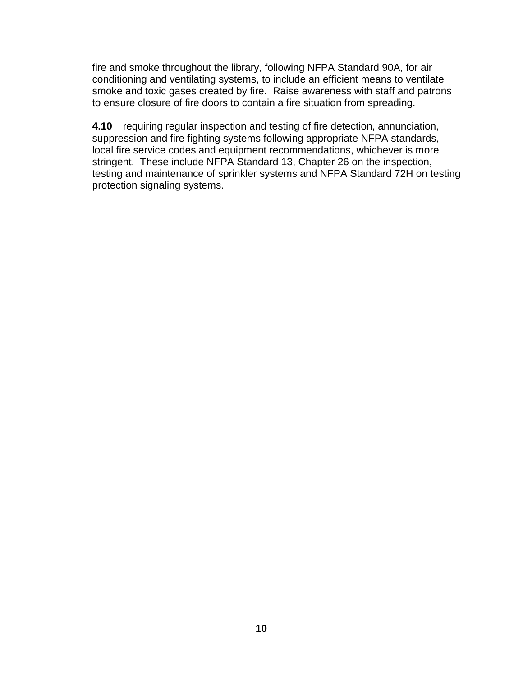fire and smoke throughout the library, following NFPA Standard 90A, for air conditioning and ventilating systems, to include an efficient means to ventilate smoke and toxic gases created by fire. Raise awareness with staff and patrons to ensure closure of fire doors to contain a fire situation from spreading.

**4.10** requiring regular inspection and testing of fire detection, annunciation, suppression and fire fighting systems following appropriate NFPA standards, local fire service codes and equipment recommendations, whichever is more stringent. These include NFPA Standard 13, Chapter 26 on the inspection, testing and maintenance of sprinkler systems and NFPA Standard 72H on testing protection signaling systems.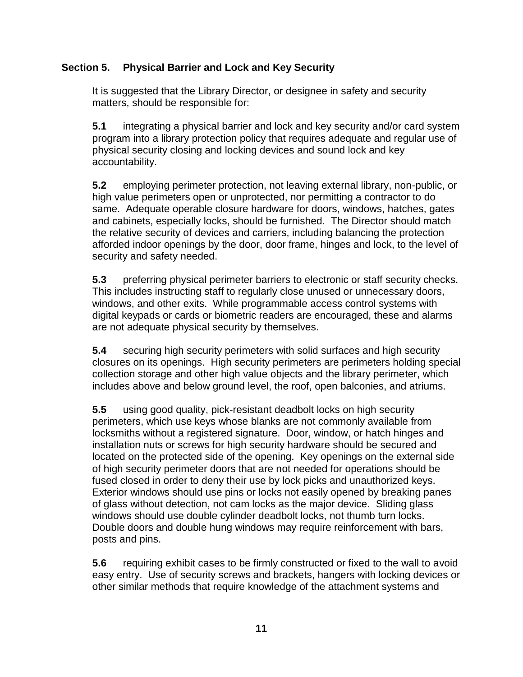# **Section 5. Physical Barrier and Lock and Key Security**

It is suggested that the Library Director, or designee in safety and security matters, should be responsible for:

**5.1** integrating a physical barrier and lock and key security and/or card system program into a library protection policy that requires adequate and regular use of physical security closing and locking devices and sound lock and key accountability.

**5.2** employing perimeter protection, not leaving external library, non-public, or high value perimeters open or unprotected, nor permitting a contractor to do same. Adequate operable closure hardware for doors, windows, hatches, gates and cabinets, especially locks, should be furnished. The Director should match the relative security of devices and carriers, including balancing the protection afforded indoor openings by the door, door frame, hinges and lock, to the level of security and safety needed.

**5.3** preferring physical perimeter barriers to electronic or staff security checks. This includes instructing staff to regularly close unused or unnecessary doors, windows, and other exits. While programmable access control systems with digital keypads or cards or biometric readers are encouraged, these and alarms are not adequate physical security by themselves.

**5.4** securing high security perimeters with solid surfaces and high security closures on its openings. High security perimeters are perimeters holding special collection storage and other high value objects and the library perimeter, which includes above and below ground level, the roof, open balconies, and atriums.

**5.5** using good quality, pick-resistant deadbolt locks on high security perimeters, which use keys whose blanks are not commonly available from locksmiths without a registered signature. Door, window, or hatch hinges and installation nuts or screws for high security hardware should be secured and located on the protected side of the opening. Key openings on the external side of high security perimeter doors that are not needed for operations should be fused closed in order to deny their use by lock picks and unauthorized keys. Exterior windows should use pins or locks not easily opened by breaking panes of glass without detection, not cam locks as the major device. Sliding glass windows should use double cylinder deadbolt locks, not thumb turn locks. Double doors and double hung windows may require reinforcement with bars, posts and pins.

**5.6** requiring exhibit cases to be firmly constructed or fixed to the wall to avoid easy entry. Use of security screws and brackets, hangers with locking devices or other similar methods that require knowledge of the attachment systems and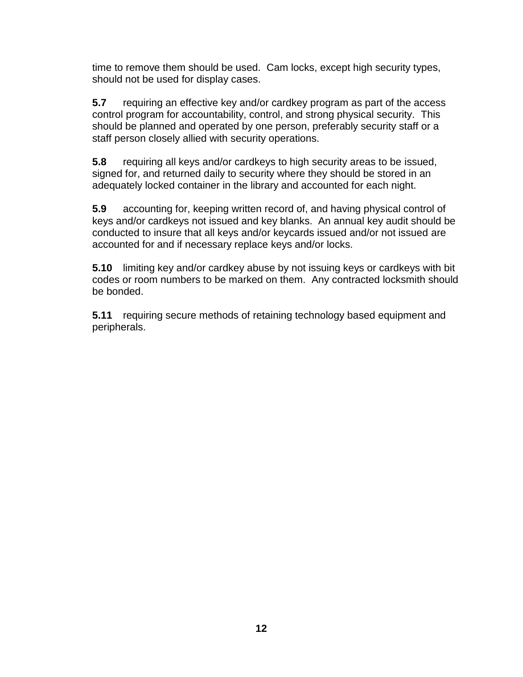time to remove them should be used. Cam locks, except high security types, should not be used for display cases.

**5.7** requiring an effective key and/or cardkey program as part of the access control program for accountability, control, and strong physical security. This should be planned and operated by one person, preferably security staff or a staff person closely allied with security operations.

**5.8** requiring all keys and/or cardkeys to high security areas to be issued, signed for, and returned daily to security where they should be stored in an adequately locked container in the library and accounted for each night.

**5.9** accounting for, keeping written record of, and having physical control of keys and/or cardkeys not issued and key blanks. An annual key audit should be conducted to insure that all keys and/or keycards issued and/or not issued are accounted for and if necessary replace keys and/or locks.

**5.10** limiting key and/or cardkey abuse by not issuing keys or cardkeys with bit codes or room numbers to be marked on them. Any contracted locksmith should be bonded.

**5.11** requiring secure methods of retaining technology based equipment and peripherals.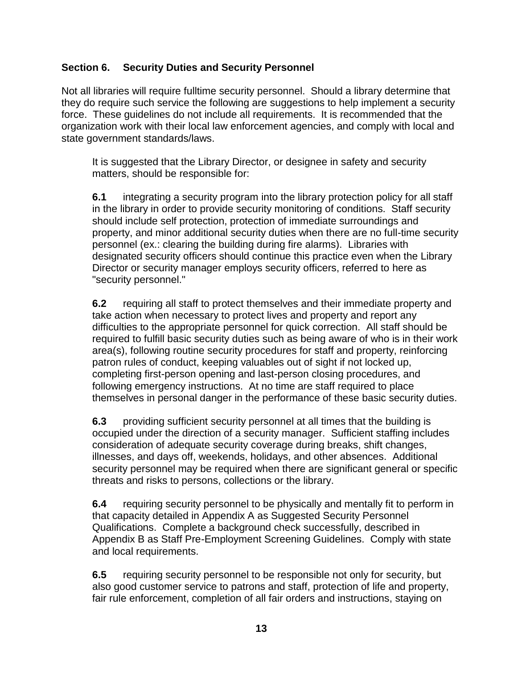# **Section 6. Security Duties and Security Personnel**

Not all libraries will require fulltime security personnel. Should a library determine that they do require such service the following are suggestions to help implement a security force. These guidelines do not include all requirements. It is recommended that the organization work with their local law enforcement agencies, and comply with local and state government standards/laws.

It is suggested that the Library Director, or designee in safety and security matters, should be responsible for:

**6.1** integrating a security program into the library protection policy for all staff in the library in order to provide security monitoring of conditions. Staff security should include self protection, protection of immediate surroundings and property, and minor additional security duties when there are no full-time security personnel (ex.: clearing the building during fire alarms). Libraries with designated security officers should continue this practice even when the Library Director or security manager employs security officers, referred to here as "security personnel."

**6.2** requiring all staff to protect themselves and their immediate property and take action when necessary to protect lives and property and report any difficulties to the appropriate personnel for quick correction. All staff should be required to fulfill basic security duties such as being aware of who is in their work area(s), following routine security procedures for staff and property, reinforcing patron rules of conduct, keeping valuables out of sight if not locked up, completing first-person opening and last-person closing procedures, and following emergency instructions. At no time are staff required to place themselves in personal danger in the performance of these basic security duties.

**6.3** providing sufficient security personnel at all times that the building is occupied under the direction of a security manager. Sufficient staffing includes consideration of adequate security coverage during breaks, shift changes, illnesses, and days off, weekends, holidays, and other absences. Additional security personnel may be required when there are significant general or specific threats and risks to persons, collections or the library.

**6.4** requiring security personnel to be physically and mentally fit to perform in that capacity detailed in Appendix A as Suggested Security Personnel Qualifications. Complete a background check successfully, described in Appendix B as Staff Pre-Employment Screening Guidelines. Comply with state and local requirements.

**6.5** requiring security personnel to be responsible not only for security, but also good customer service to patrons and staff, protection of life and property, fair rule enforcement, completion of all fair orders and instructions, staying on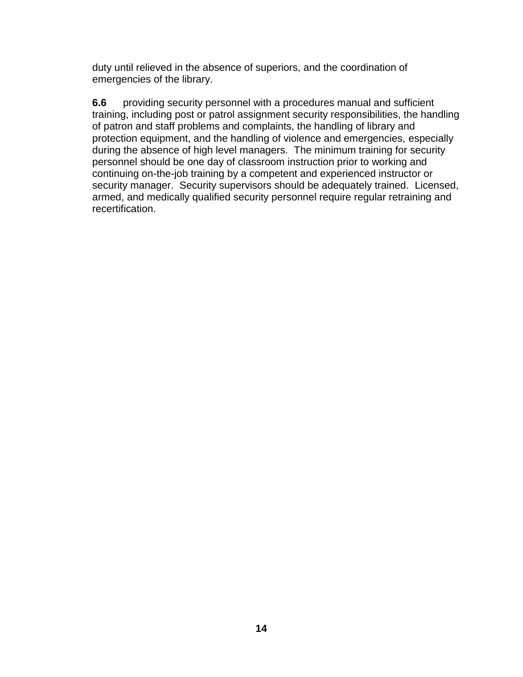duty until relieved in the absence of superiors, and the coordination of emergencies of the library.

**6.6** providing security personnel with a procedures manual and sufficient training, including post or patrol assignment security responsibilities, the handling of patron and staff problems and complaints, the handling of library and protection equipment, and the handling of violence and emergencies, especially during the absence of high level managers. The minimum training for security personnel should be one day of classroom instruction prior to working and continuing on-the-job training by a competent and experienced instructor or security manager. Security supervisors should be adequately trained. Licensed, armed, and medically qualified security personnel require regular retraining and recertification.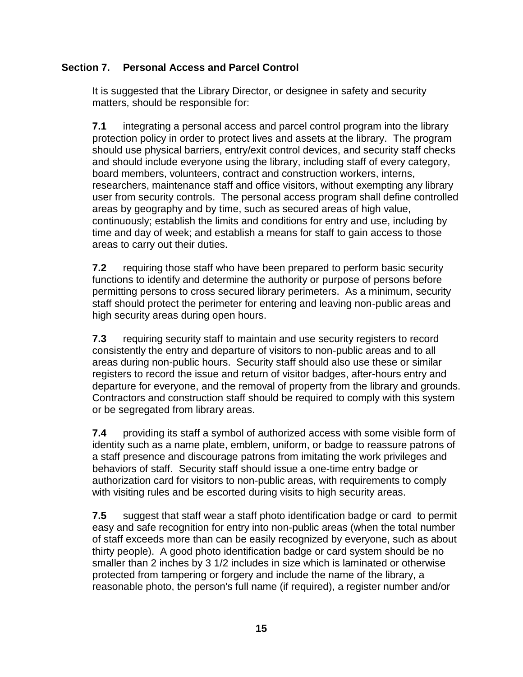# **Section 7. Personal Access and Parcel Control**

It is suggested that the Library Director, or designee in safety and security matters, should be responsible for:

**7.1** integrating a personal access and parcel control program into the library protection policy in order to protect lives and assets at the library. The program should use physical barriers, entry/exit control devices, and security staff checks and should include everyone using the library, including staff of every category, board members, volunteers, contract and construction workers, interns, researchers, maintenance staff and office visitors, without exempting any library user from security controls. The personal access program shall define controlled areas by geography and by time, such as secured areas of high value, continuously; establish the limits and conditions for entry and use, including by time and day of week; and establish a means for staff to gain access to those areas to carry out their duties.

**7.2** requiring those staff who have been prepared to perform basic security functions to identify and determine the authority or purpose of persons before permitting persons to cross secured library perimeters. As a minimum, security staff should protect the perimeter for entering and leaving non-public areas and high security areas during open hours.

**7.3** requiring security staff to maintain and use security registers to record consistently the entry and departure of visitors to non-public areas and to all areas during non-public hours. Security staff should also use these or similar registers to record the issue and return of visitor badges, after-hours entry and departure for everyone, and the removal of property from the library and grounds. Contractors and construction staff should be required to comply with this system or be segregated from library areas.

**7.4** providing its staff a symbol of authorized access with some visible form of identity such as a name plate, emblem, uniform, or badge to reassure patrons of a staff presence and discourage patrons from imitating the work privileges and behaviors of staff. Security staff should issue a one-time entry badge or authorization card for visitors to non-public areas, with requirements to comply with visiting rules and be escorted during visits to high security areas.

**7.5** suggest that staff wear a staff photo identification badge or card to permit easy and safe recognition for entry into non-public areas (when the total number of staff exceeds more than can be easily recognized by everyone, such as about thirty people). A good photo identification badge or card system should be no smaller than 2 inches by 3 1/2 includes in size which is laminated or otherwise protected from tampering or forgery and include the name of the library, a reasonable photo, the person's full name (if required), a register number and/or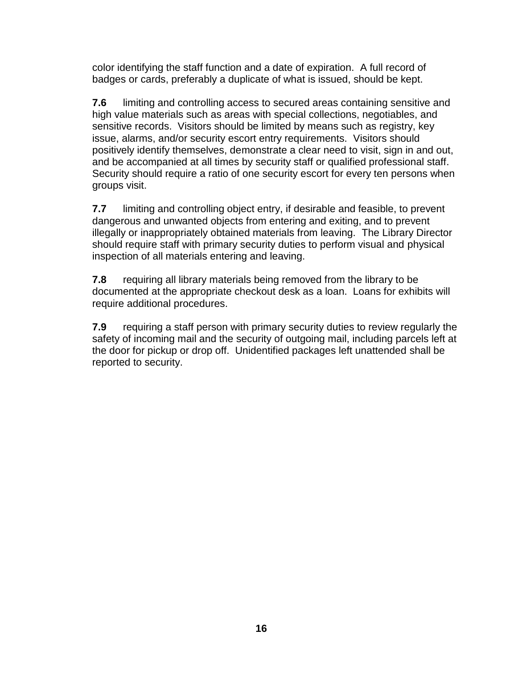color identifying the staff function and a date of expiration. A full record of badges or cards, preferably a duplicate of what is issued, should be kept.

**7.6** limiting and controlling access to secured areas containing sensitive and high value materials such as areas with special collections, negotiables, and sensitive records. Visitors should be limited by means such as registry, key issue, alarms, and/or security escort entry requirements. Visitors should positively identify themselves, demonstrate a clear need to visit, sign in and out, and be accompanied at all times by security staff or qualified professional staff. Security should require a ratio of one security escort for every ten persons when groups visit.

**7.7** limiting and controlling object entry, if desirable and feasible, to prevent dangerous and unwanted objects from entering and exiting, and to prevent illegally or inappropriately obtained materials from leaving. The Library Director should require staff with primary security duties to perform visual and physical inspection of all materials entering and leaving.

**7.8** requiring all library materials being removed from the library to be documented at the appropriate checkout desk as a loan. Loans for exhibits will require additional procedures.

**7.9** requiring a staff person with primary security duties to review regularly the safety of incoming mail and the security of outgoing mail, including parcels left at the door for pickup or drop off. Unidentified packages left unattended shall be reported to security.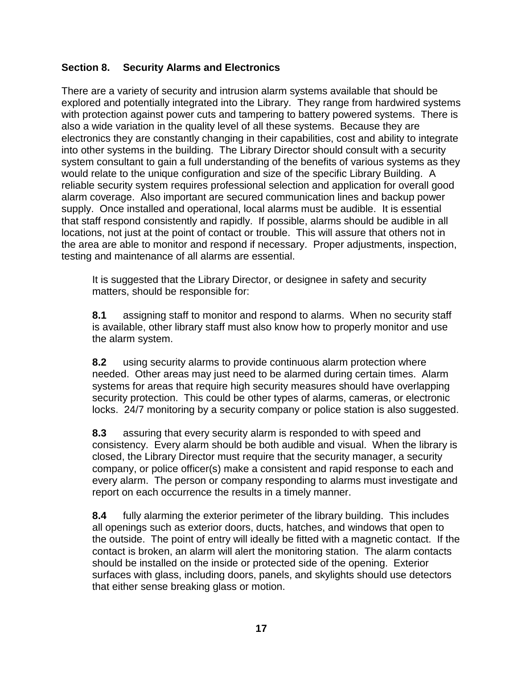## **Section 8. Security Alarms and Electronics**

There are a variety of security and intrusion alarm systems available that should be explored and potentially integrated into the Library. They range from hardwired systems with protection against power cuts and tampering to battery powered systems. There is also a wide variation in the quality level of all these systems. Because they are electronics they are constantly changing in their capabilities, cost and ability to integrate into other systems in the building. The Library Director should consult with a security system consultant to gain a full understanding of the benefits of various systems as they would relate to the unique configuration and size of the specific Library Building. A reliable security system requires professional selection and application for overall good alarm coverage. Also important are secured communication lines and backup power supply. Once installed and operational, local alarms must be audible. It is essential that staff respond consistently and rapidly. If possible, alarms should be audible in all locations, not just at the point of contact or trouble. This will assure that others not in the area are able to monitor and respond if necessary. Proper adjustments, inspection, testing and maintenance of all alarms are essential.

It is suggested that the Library Director, or designee in safety and security matters, should be responsible for:

**8.1** assigning staff to monitor and respond to alarms. When no security staff is available, other library staff must also know how to properly monitor and use the alarm system.

**8.2** using security alarms to provide continuous alarm protection where needed. Other areas may just need to be alarmed during certain times. Alarm systems for areas that require high security measures should have overlapping security protection. This could be other types of alarms, cameras, or electronic locks. 24/7 monitoring by a security company or police station is also suggested.

**8.3** assuring that every security alarm is responded to with speed and consistency. Every alarm should be both audible and visual. When the library is closed, the Library Director must require that the security manager, a security company, or police officer(s) make a consistent and rapid response to each and every alarm. The person or company responding to alarms must investigate and report on each occurrence the results in a timely manner.

**8.4** fully alarming the exterior perimeter of the library building. This includes all openings such as exterior doors, ducts, hatches, and windows that open to the outside. The point of entry will ideally be fitted with a magnetic contact. If the contact is broken, an alarm will alert the monitoring station. The alarm contacts should be installed on the inside or protected side of the opening. Exterior surfaces with glass, including doors, panels, and skylights should use detectors that either sense breaking glass or motion.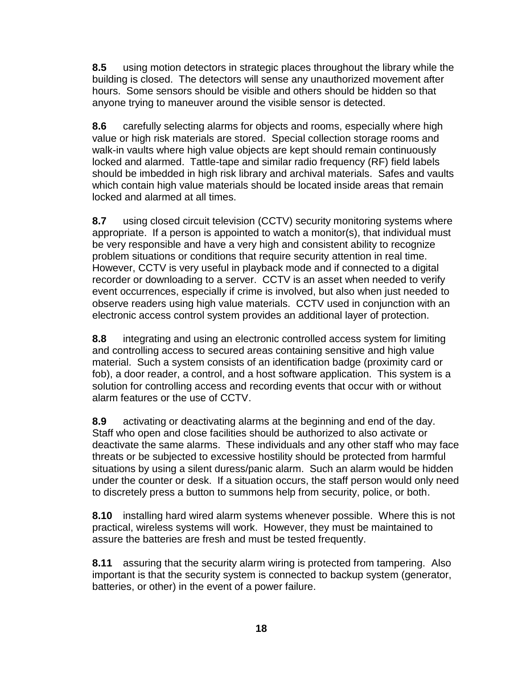**8.5** using motion detectors in strategic places throughout the library while the building is closed. The detectors will sense any unauthorized movement after hours. Some sensors should be visible and others should be hidden so that anyone trying to maneuver around the visible sensor is detected.

**8.6** carefully selecting alarms for objects and rooms, especially where high value or high risk materials are stored. Special collection storage rooms and walk-in vaults where high value objects are kept should remain continuously locked and alarmed. Tattle-tape and similar radio frequency (RF) field labels should be imbedded in high risk library and archival materials. Safes and vaults which contain high value materials should be located inside areas that remain locked and alarmed at all times.

**8.7** using closed circuit television (CCTV) security monitoring systems where appropriate. If a person is appointed to watch a monitor(s), that individual must be very responsible and have a very high and consistent ability to recognize problem situations or conditions that require security attention in real time. However, CCTV is very useful in playback mode and if connected to a digital recorder or downloading to a server. CCTV is an asset when needed to verify event occurrences, especially if crime is involved, but also when just needed to observe readers using high value materials. CCTV used in conjunction with an electronic access control system provides an additional layer of protection.

**8.8** integrating and using an electronic controlled access system for limiting and controlling access to secured areas containing sensitive and high value material. Such a system consists of an identification badge (proximity card or fob), a door reader, a control, and a host software application. This system is a solution for controlling access and recording events that occur with or without alarm features or the use of CCTV.

**8.9** activating or deactivating alarms at the beginning and end of the day. Staff who open and close facilities should be authorized to also activate or deactivate the same alarms. These individuals and any other staff who may face threats or be subjected to excessive hostility should be protected from harmful situations by using a silent duress/panic alarm. Such an alarm would be hidden under the counter or desk. If a situation occurs, the staff person would only need to discretely press a button to summons help from security, police, or both.

**8.10** installing hard wired alarm systems whenever possible. Where this is not practical, wireless systems will work. However, they must be maintained to assure the batteries are fresh and must be tested frequently.

**8.11** assuring that the security alarm wiring is protected from tampering. Also important is that the security system is connected to backup system (generator, batteries, or other) in the event of a power failure.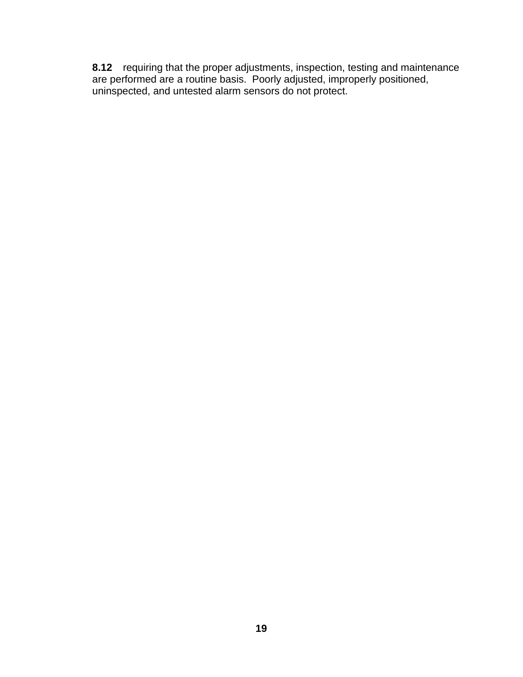**8.12** requiring that the proper adjustments, inspection, testing and maintenance are performed are a routine basis. Poorly adjusted, improperly positioned, uninspected, and untested alarm sensors do not protect.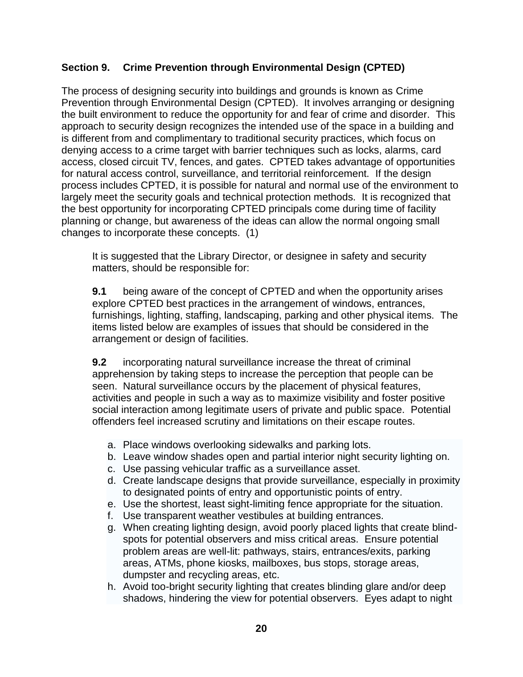# **Section 9. Crime Prevention through Environmental Design (CPTED)**

The process of designing security into buildings and grounds is known as Crime Prevention through Environmental Design (CPTED). It involves arranging or designing the built environment to reduce the opportunity for and fear of crime and disorder. This approach to security design recognizes the intended use of the space in a building and is different from and complimentary to traditional security practices, which focus on denying access to a crime target with barrier techniques such as locks, alarms, card access, closed circuit TV, fences, and gates. CPTED takes advantage of opportunities for natural access control, surveillance, and territorial reinforcement. If the design process includes CPTED, it is possible for natural and normal use of the environment to largely meet the security goals and technical protection methods. It is recognized that the best opportunity for incorporating CPTED principals come during time of facility planning or change, but awareness of the ideas can allow the normal ongoing small changes to incorporate these concepts. (1)

It is suggested that the Library Director, or designee in safety and security matters, should be responsible for:

**9.1** being aware of the concept of CPTED and when the opportunity arises explore CPTED best practices in the arrangement of windows, entrances, furnishings, lighting, staffing, landscaping, parking and other physical items. The items listed below are examples of issues that should be considered in the arrangement or design of facilities.

**9.2** incorporating natural surveillance increase the threat of criminal apprehension by taking steps to increase the perception that people can be seen. Natural surveillance occurs by the placement of physical features, activities and people in such a way as to maximize visibility and foster positive social interaction among legitimate users of private and public space. Potential offenders feel increased scrutiny and limitations on their escape routes.

- a. Place windows overlooking sidewalks and parking lots.
- b. Leave window shades open and partial interior night security lighting on.
- c. Use passing vehicular traffic as a surveillance asset.
- d. Create landscape designs that provide surveillance, especially in proximity to designated points of entry and opportunistic points of entry.
- e. Use the shortest, least sight-limiting fence appropriate for the situation.
- f. Use transparent weather vestibules at building entrances.
- g. When creating lighting design, avoid poorly placed lights that create blindspots for potential observers and miss critical areas. Ensure potential problem areas are well-lit: pathways, stairs, entrances/exits, parking areas, ATMs, phone kiosks, mailboxes, bus stops, storage areas, dumpster and recycling areas, etc.
- h. Avoid too-bright security lighting that creates blinding glare and/or deep shadows, hindering the view for potential observers. Eyes adapt to night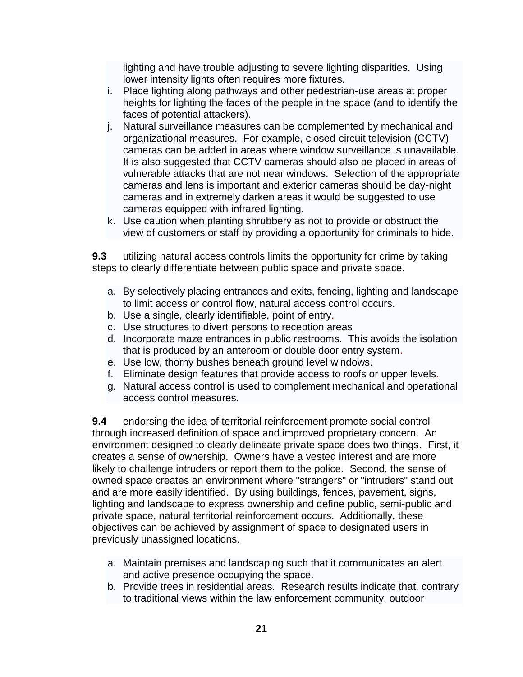lighting and have trouble adjusting to severe lighting disparities. Using lower intensity lights often requires more fixtures.

- i. Place lighting along pathways and other pedestrian-use areas at proper heights for lighting the faces of the people in the space (and to identify the faces of potential attackers).
- j. Natural surveillance measures can be complemented by mechanical and organizational measures. For example, closed-circuit television (CCTV) cameras can be added in areas where window surveillance is unavailable. It is also suggested that CCTV cameras should also be placed in areas of vulnerable attacks that are not near windows. Selection of the appropriate cameras and lens is important and exterior cameras should be day-night cameras and in extremely darken areas it would be suggested to use cameras equipped with infrared lighting.
- k. Use caution when planting shrubbery as not to provide or obstruct the view of customers or staff by providing a opportunity for criminals to hide.

**9.3** utilizing natural access controls limits the opportunity for crime by taking steps to clearly differentiate between public space and private space.

- a. By selectively placing entrances and exits, fencing, lighting and landscape to limit access or control flow, natural access control occurs.
- b. Use a single, clearly identifiable, point of entry.
- c. Use structures to divert persons to reception areas
- d. Incorporate maze entrances in public restrooms. This avoids the isolation that is produced by an anteroom or double door entry system.
- e. Use low, thorny bushes beneath ground level windows.
- f. Eliminate design features that provide access to roofs or upper levels.
- g. Natural access control is used to complement mechanical and operational access control measures.

**9.4** endorsing the idea of territorial reinforcement promote social control through increased definition of space and improved proprietary concern. An environment designed to clearly delineate private space does two things. First, it creates a sense of ownership. Owners have a vested interest and are more likely to challenge intruders or report them to the police. Second, the sense of owned space creates an environment where "strangers" or "intruders" stand out and are more easily identified. By using buildings, fences, pavement, signs, lighting and landscape to express ownership and define public, semi-public and private space, natural territorial reinforcement occurs. Additionally, these objectives can be achieved by assignment of space to designated users in previously unassigned locations.

- a. Maintain premises and landscaping such that it communicates an alert and active presence occupying the space.
- b. Provide trees in residential areas. Research results indicate that, contrary to traditional views within the law enforcement community, outdoor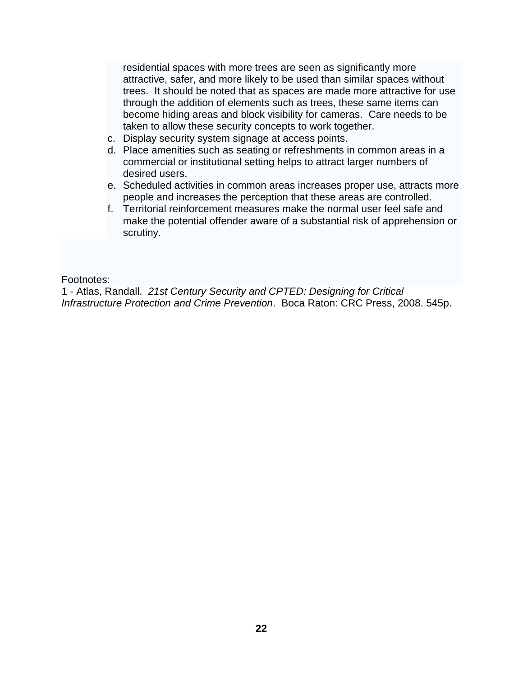residential spaces with more trees are seen as significantly more attractive, safer, and more likely to be used than similar spaces without trees. It should be noted that as spaces are made more attractive for use through the addition of elements such as trees, these same items can become hiding areas and block visibility for cameras. Care needs to be taken to allow these security concepts to work together.

- c. Display security system signage at access points.
- d. Place amenities such as seating or refreshments in common areas in a commercial or institutional setting helps to attract larger numbers of desired users.
- e. Scheduled activities in common areas increases proper use, attracts more people and increases the perception that these areas are controlled.
- f. Territorial reinforcement measures make the normal user feel safe and make the potential offender aware of a substantial risk of apprehension or scrutiny.

Footnotes:

1 - Atlas, Randall. *21st Century Security and CPTED: Designing for Critical Infrastructure Protection and Crime Prevention*. Boca Raton: CRC Press, 2008. 545p.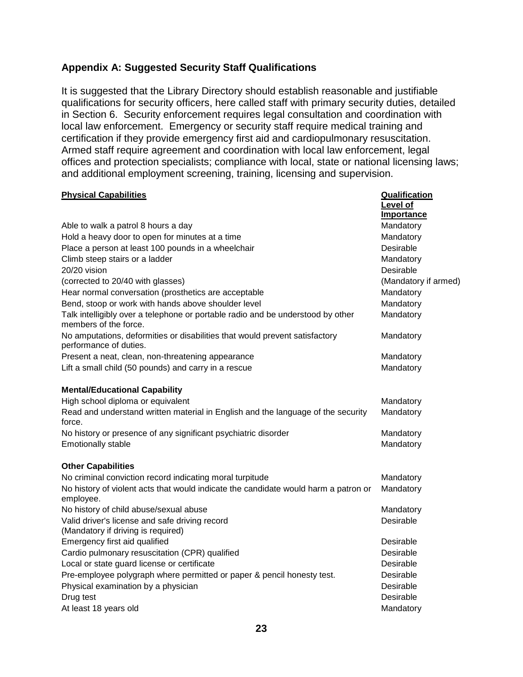### **Appendix A: Suggested Security Staff Qualifications**

It is suggested that the Library Directory should establish reasonable and justifiable qualifications for security officers, here called staff with primary security duties, detailed in Section 6. Security enforcement requires legal consultation and coordination with local law enforcement. Emergency or security staff require medical training and certification if they provide emergency first aid and cardiopulmonary resuscitation. Armed staff require agreement and coordination with local law enforcement, legal offices and protection specialists; compliance with local, state or national licensing laws; and additional employment screening, training, licensing and supervision.

| <b>Physical Capabilities</b>                                                                             | <b>Qualification</b><br>Level of<br><b>Importance</b> |
|----------------------------------------------------------------------------------------------------------|-------------------------------------------------------|
| Able to walk a patrol 8 hours a day                                                                      | Mandatory                                             |
| Hold a heavy door to open for minutes at a time                                                          | Mandatory                                             |
| Place a person at least 100 pounds in a wheelchair                                                       | Desirable                                             |
| Climb steep stairs or a ladder                                                                           | Mandatory                                             |
| 20/20 vision                                                                                             | Desirable                                             |
| (corrected to 20/40 with glasses)                                                                        | (Mandatory if armed)                                  |
| Hear normal conversation (prosthetics are acceptable                                                     | Mandatory                                             |
| Bend, stoop or work with hands above shoulder level                                                      | Mandatory                                             |
| Talk intelligibly over a telephone or portable radio and be understood by other<br>members of the force. | Mandatory                                             |
| No amputations, deformities or disabilities that would prevent satisfactory<br>performance of duties.    | Mandatory                                             |
| Present a neat, clean, non-threatening appearance                                                        | Mandatory                                             |
| Lift a small child (50 pounds) and carry in a rescue                                                     | Mandatory                                             |
| <b>Mental/Educational Capability</b>                                                                     |                                                       |
| High school diploma or equivalent                                                                        | Mandatory                                             |
| Read and understand written material in English and the language of the security<br>force.               | Mandatory                                             |
| No history or presence of any significant psychiatric disorder                                           | Mandatory                                             |
| <b>Emotionally stable</b>                                                                                | Mandatory                                             |
| <b>Other Capabilities</b>                                                                                |                                                       |
| No criminal conviction record indicating moral turpitude                                                 | Mandatory                                             |
| No history of violent acts that would indicate the candidate would harm a patron or<br>employee.         | Mandatory                                             |
| No history of child abuse/sexual abuse                                                                   | Mandatory                                             |
| Valid driver's license and safe driving record<br>(Mandatory if driving is required)                     | Desirable                                             |
| Emergency first aid qualified                                                                            | Desirable                                             |
| Cardio pulmonary resuscitation (CPR) qualified                                                           | Desirable                                             |
| Local or state guard license or certificate                                                              | Desirable                                             |
| Pre-employee polygraph where permitted or paper & pencil honesty test.                                   | Desirable                                             |
| Physical examination by a physician                                                                      | Desirable                                             |
| Drug test                                                                                                | Desirable                                             |
| At least 18 years old                                                                                    | Mandatory                                             |
|                                                                                                          |                                                       |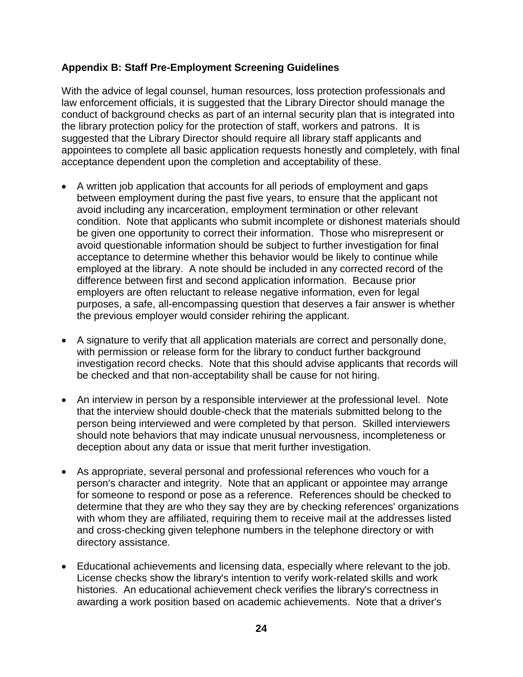#### **Appendix B: Staff Pre-Employment Screening Guidelines**

With the advice of legal counsel, human resources, loss protection professionals and law enforcement officials, it is suggested that the Library Director should manage the conduct of background checks as part of an internal security plan that is integrated into the library protection policy for the protection of staff, workers and patrons. It is suggested that the Library Director should require all library staff applicants and appointees to complete all basic application requests honestly and completely, with final acceptance dependent upon the completion and acceptability of these.

- A written job application that accounts for all periods of employment and gaps between employment during the past five years, to ensure that the applicant not avoid including any incarceration, employment termination or other relevant condition. Note that applicants who submit incomplete or dishonest materials should be given one opportunity to correct their information. Those who misrepresent or avoid questionable information should be subject to further investigation for final acceptance to determine whether this behavior would be likely to continue while employed at the library. A note should be included in any corrected record of the difference between first and second application information. Because prior employers are often reluctant to release negative information, even for legal purposes, a safe, all-encompassing question that deserves a fair answer is whether the previous employer would consider rehiring the applicant.
- A signature to verify that all application materials are correct and personally done, with permission or release form for the library to conduct further background investigation record checks. Note that this should advise applicants that records will be checked and that non-acceptability shall be cause for not hiring.
- An interview in person by a responsible interviewer at the professional level. Note that the interview should double-check that the materials submitted belong to the person being interviewed and were completed by that person. Skilled interviewers should note behaviors that may indicate unusual nervousness, incompleteness or deception about any data or issue that merit further investigation.
- As appropriate, several personal and professional references who vouch for a person's character and integrity. Note that an applicant or appointee may arrange for someone to respond or pose as a reference. References should be checked to determine that they are who they say they are by checking references' organizations with whom they are affiliated, requiring them to receive mail at the addresses listed and cross-checking given telephone numbers in the telephone directory or with directory assistance.
- Educational achievements and licensing data, especially where relevant to the job. License checks show the library's intention to verify work-related skills and work histories. An educational achievement check verifies the library's correctness in awarding a work position based on academic achievements. Note that a driver's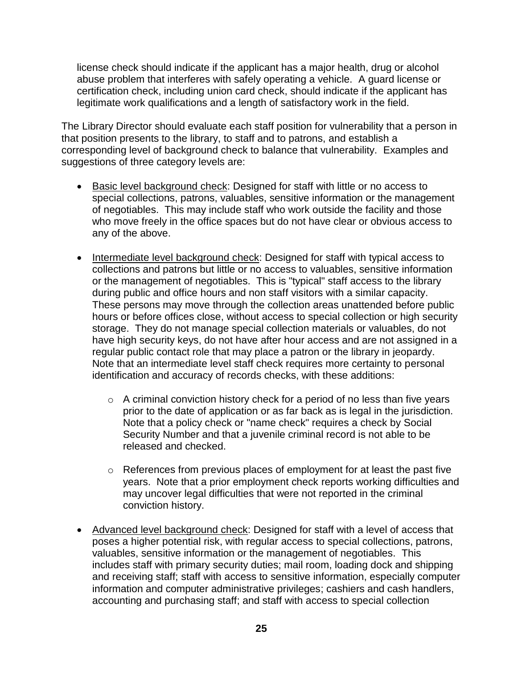license check should indicate if the applicant has a major health, drug or alcohol abuse problem that interferes with safely operating a vehicle. A guard license or certification check, including union card check, should indicate if the applicant has legitimate work qualifications and a length of satisfactory work in the field.

The Library Director should evaluate each staff position for vulnerability that a person in that position presents to the library, to staff and to patrons, and establish a corresponding level of background check to balance that vulnerability. Examples and suggestions of three category levels are:

- Basic level background check: Designed for staff with little or no access to special collections, patrons, valuables, sensitive information or the management of negotiables. This may include staff who work outside the facility and those who move freely in the office spaces but do not have clear or obvious access to any of the above.
- Intermediate level background check: Designed for staff with typical access to collections and patrons but little or no access to valuables, sensitive information or the management of negotiables. This is "typical" staff access to the library during public and office hours and non staff visitors with a similar capacity. These persons may move through the collection areas unattended before public hours or before offices close, without access to special collection or high security storage. They do not manage special collection materials or valuables, do not have high security keys, do not have after hour access and are not assigned in a regular public contact role that may place a patron or the library in jeopardy. Note that an intermediate level staff check requires more certainty to personal identification and accuracy of records checks, with these additions:
	- $\circ$  A criminal conviction history check for a period of no less than five years prior to the date of application or as far back as is legal in the jurisdiction. Note that a policy check or "name check" requires a check by Social Security Number and that a juvenile criminal record is not able to be released and checked.
	- o References from previous places of employment for at least the past five years. Note that a prior employment check reports working difficulties and may uncover legal difficulties that were not reported in the criminal conviction history.
- Advanced level background check: Designed for staff with a level of access that poses a higher potential risk, with regular access to special collections, patrons, valuables, sensitive information or the management of negotiables. This includes staff with primary security duties; mail room, loading dock and shipping and receiving staff; staff with access to sensitive information, especially computer information and computer administrative privileges; cashiers and cash handlers, accounting and purchasing staff; and staff with access to special collection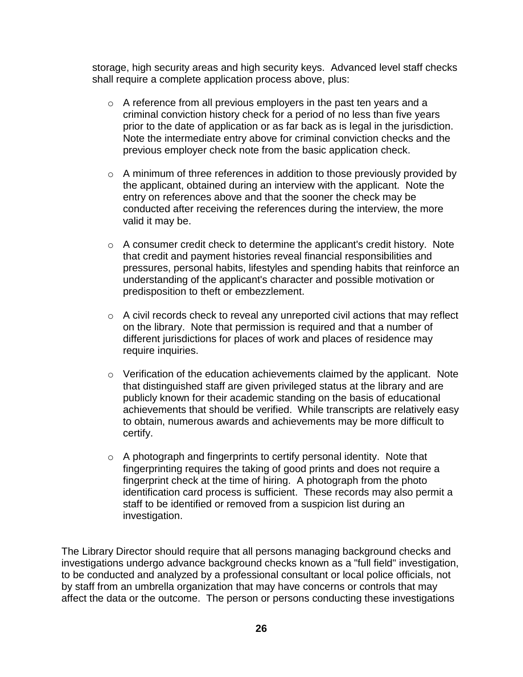storage, high security areas and high security keys. Advanced level staff checks shall require a complete application process above, plus:

- o A reference from all previous employers in the past ten years and a criminal conviction history check for a period of no less than five years prior to the date of application or as far back as is legal in the jurisdiction. Note the intermediate entry above for criminal conviction checks and the previous employer check note from the basic application check.
- o A minimum of three references in addition to those previously provided by the applicant, obtained during an interview with the applicant. Note the entry on references above and that the sooner the check may be conducted after receiving the references during the interview, the more valid it may be.
- o A consumer credit check to determine the applicant's credit history. Note that credit and payment histories reveal financial responsibilities and pressures, personal habits, lifestyles and spending habits that reinforce an understanding of the applicant's character and possible motivation or predisposition to theft or embezzlement.
- o A civil records check to reveal any unreported civil actions that may reflect on the library. Note that permission is required and that a number of different jurisdictions for places of work and places of residence may require inquiries.
- o Verification of the education achievements claimed by the applicant. Note that distinguished staff are given privileged status at the library and are publicly known for their academic standing on the basis of educational achievements that should be verified. While transcripts are relatively easy to obtain, numerous awards and achievements may be more difficult to certify.
- o A photograph and fingerprints to certify personal identity. Note that fingerprinting requires the taking of good prints and does not require a fingerprint check at the time of hiring. A photograph from the photo identification card process is sufficient. These records may also permit a staff to be identified or removed from a suspicion list during an investigation.

The Library Director should require that all persons managing background checks and investigations undergo advance background checks known as a "full field" investigation, to be conducted and analyzed by a professional consultant or local police officials, not by staff from an umbrella organization that may have concerns or controls that may affect the data or the outcome. The person or persons conducting these investigations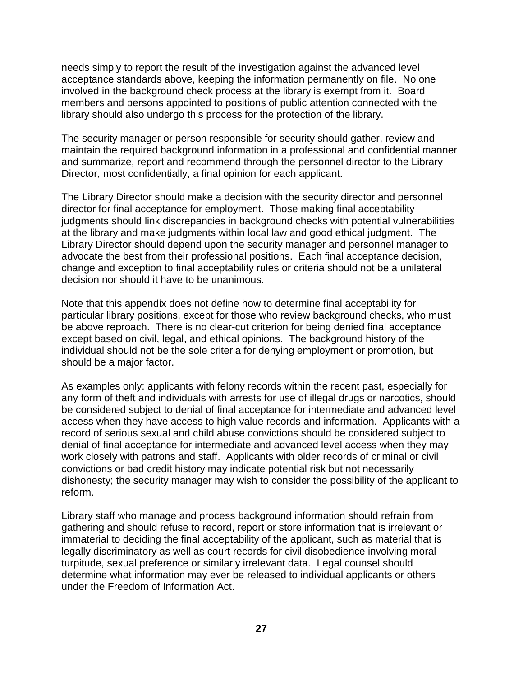needs simply to report the result of the investigation against the advanced level acceptance standards above, keeping the information permanently on file. No one involved in the background check process at the library is exempt from it. Board members and persons appointed to positions of public attention connected with the library should also undergo this process for the protection of the library.

The security manager or person responsible for security should gather, review and maintain the required background information in a professional and confidential manner and summarize, report and recommend through the personnel director to the Library Director, most confidentially, a final opinion for each applicant.

The Library Director should make a decision with the security director and personnel director for final acceptance for employment. Those making final acceptability judgments should link discrepancies in background checks with potential vulnerabilities at the library and make judgments within local law and good ethical judgment. The Library Director should depend upon the security manager and personnel manager to advocate the best from their professional positions. Each final acceptance decision, change and exception to final acceptability rules or criteria should not be a unilateral decision nor should it have to be unanimous.

Note that this appendix does not define how to determine final acceptability for particular library positions, except for those who review background checks, who must be above reproach. There is no clear-cut criterion for being denied final acceptance except based on civil, legal, and ethical opinions. The background history of the individual should not be the sole criteria for denying employment or promotion, but should be a major factor.

As examples only: applicants with felony records within the recent past, especially for any form of theft and individuals with arrests for use of illegal drugs or narcotics, should be considered subject to denial of final acceptance for intermediate and advanced level access when they have access to high value records and information. Applicants with a record of serious sexual and child abuse convictions should be considered subject to denial of final acceptance for intermediate and advanced level access when they may work closely with patrons and staff. Applicants with older records of criminal or civil convictions or bad credit history may indicate potential risk but not necessarily dishonesty; the security manager may wish to consider the possibility of the applicant to reform.

Library staff who manage and process background information should refrain from gathering and should refuse to record, report or store information that is irrelevant or immaterial to deciding the final acceptability of the applicant, such as material that is legally discriminatory as well as court records for civil disobedience involving moral turpitude, sexual preference or similarly irrelevant data. Legal counsel should determine what information may ever be released to individual applicants or others under the Freedom of Information Act.